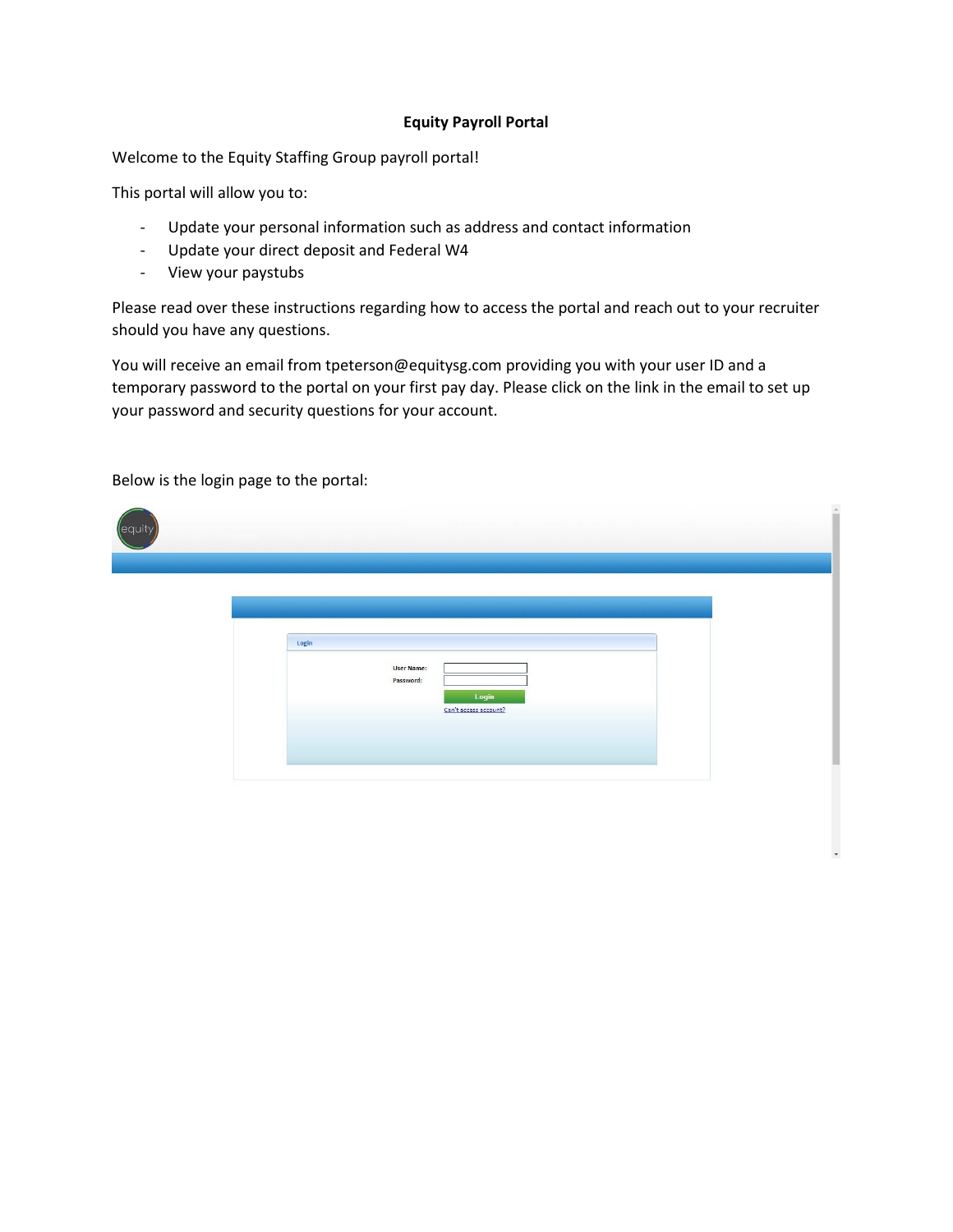## **Equity Payroll Portal**

Welcome to the Equity Staffing Group payroll portal!

This portal will allow you to:

- Update your personal information such as address and contact information
- Update your direct deposit and Federal W4
- View your paystubs

Please read over these instructions regarding how to access the portal and reach out to your recruiter should you have any questions.

You will receive an email from tpeterson@equitysg.com providing you with your user ID and a temporary password to the portal on your first pay day. Please click on the link in the email to set up your password and security questions for your account.

| equity |                                                                  | ×. |
|--------|------------------------------------------------------------------|----|
|        | Login                                                            |    |
|        | <b>User Name:</b><br>Password:<br>Login<br>Can't access account? |    |
|        |                                                                  |    |

Below is the login page to the portal: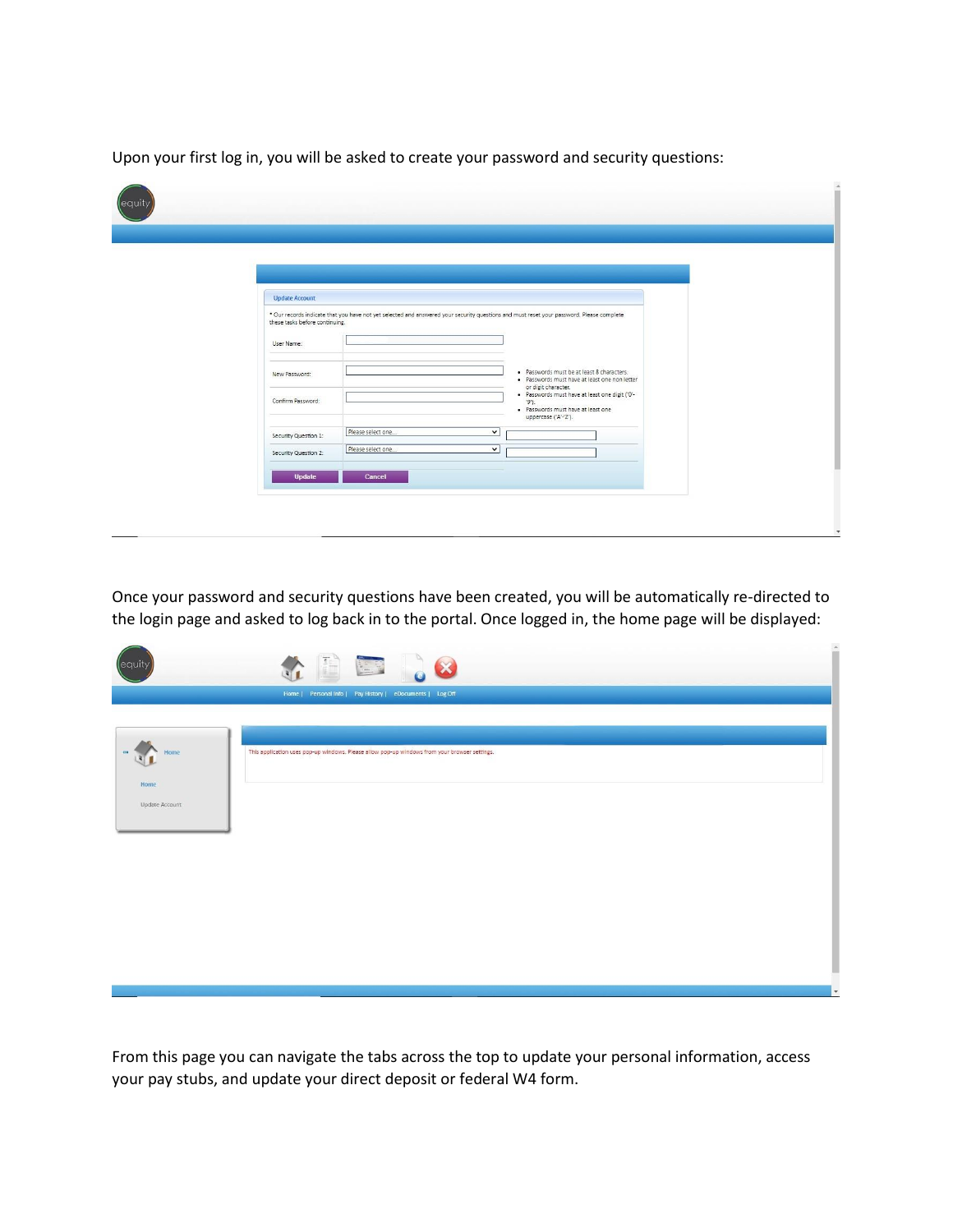Upon your first log in, you will be asked to create your password and security questions:

| <b>Update Account</b>          |                                                                                                                                          |                                                                                             |  |
|--------------------------------|------------------------------------------------------------------------------------------------------------------------------------------|---------------------------------------------------------------------------------------------|--|
|                                | * Our records indicate that you have not yet selected and answered your security questions and must reset your password. Please complete |                                                                                             |  |
| these tasks before continuing. |                                                                                                                                          |                                                                                             |  |
| User Name:                     |                                                                                                                                          |                                                                                             |  |
| New Password:                  |                                                                                                                                          | · Passwords must be at least 8 characters.<br>· Passwords must have at least one non letter |  |
| Confirm Password:              |                                                                                                                                          | or digit character.<br>· Passwords must have at least one digit ('0'-<br>$'9$ .             |  |
|                                |                                                                                                                                          | · Passwords must have at least one<br>uppercase ('A'-'Z').                                  |  |
| Security Question 1:           | Please select one<br>$\checkmark$                                                                                                        |                                                                                             |  |
| Security Question 2:           | Please select one<br>$\checkmark$                                                                                                        |                                                                                             |  |
| <b>Update</b>                  | Cancel                                                                                                                                   |                                                                                             |  |

Once your password and security questions have been created, you will be automatically re-directed to the login page and asked to log back in to the portal. Once logged in, the home page will be displayed:

| lequit                 | A B B C 8                                                                                                                                                  |
|------------------------|------------------------------------------------------------------------------------------------------------------------------------------------------------|
| Home                   | Home   Personal Info   Pay History   eDocuments   Log Off<br>This application uses pop-up windows. Please allow pop-up windows from your browser settings. |
| Home<br>Update Account |                                                                                                                                                            |
|                        |                                                                                                                                                            |
|                        |                                                                                                                                                            |

From this page you can navigate the tabs across the top to update your personal information, access your pay stubs, and update your direct deposit or federal W4 form.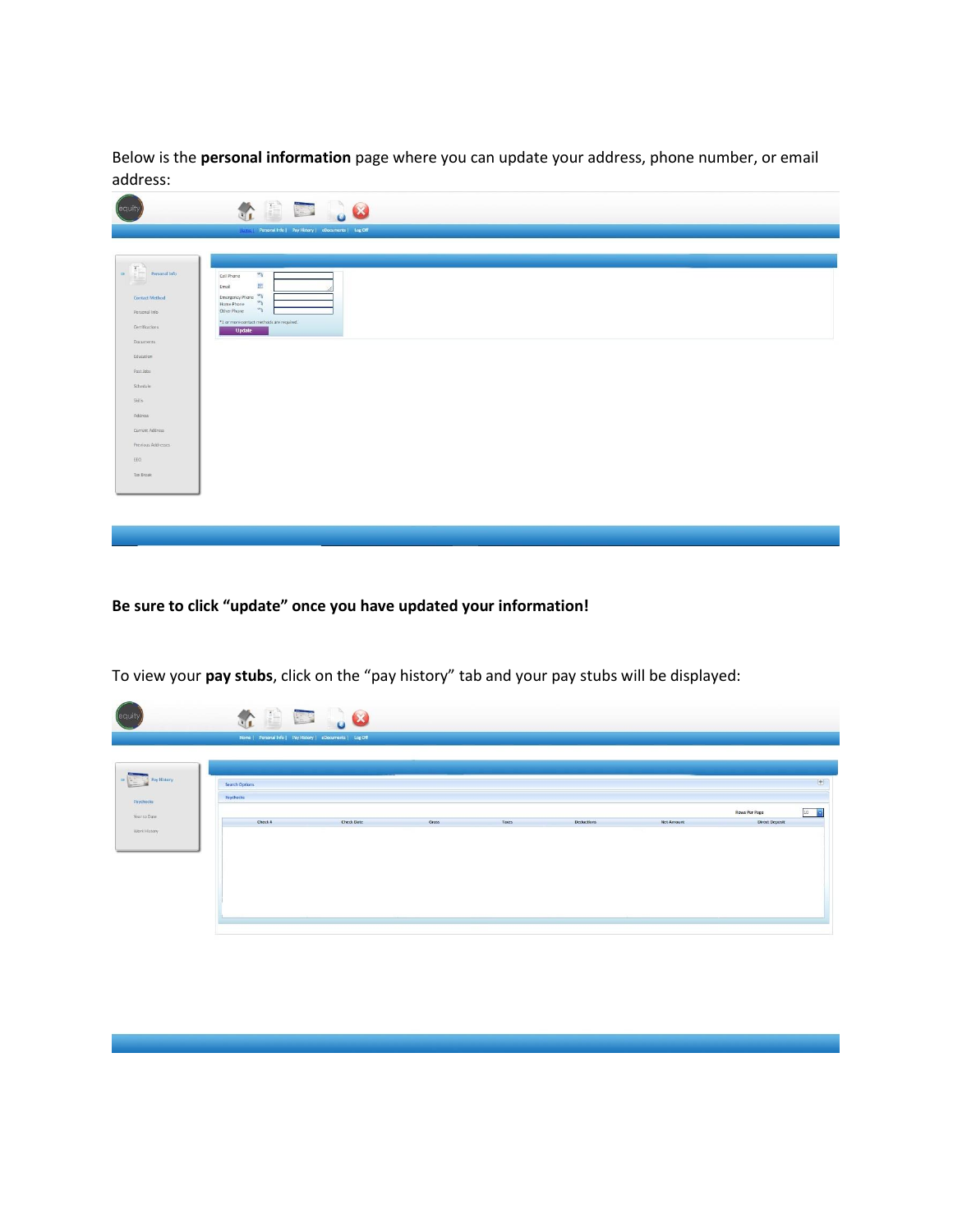Below is the **personal information** page where you can update your address, phone number, or email address:

| equit                                                                                                                                                                                                                                                                                                                                                                                                                                                                                                             | GB 58                                                                                                                            |
|-------------------------------------------------------------------------------------------------------------------------------------------------------------------------------------------------------------------------------------------------------------------------------------------------------------------------------------------------------------------------------------------------------------------------------------------------------------------------------------------------------------------|----------------------------------------------------------------------------------------------------------------------------------|
|                                                                                                                                                                                                                                                                                                                                                                                                                                                                                                                   | <b>Elizabeth Personal Info   Pay History   eDocuments   Log Off</b>                                                              |
| $\begin{tabular}{ c c } \hline \hline \multicolumn{1}{ c }{\hline \multicolumn{1}{ c }{\hline \multicolumn{1}{ c }{\hline \multicolumn{1}{ c }{\hline \multicolumn{1}{ c }{\hline \multicolumn{1}{ c }{\hline \multicolumn{1}{ c }{\hline \multicolumn{1}{ c }{\hline \multicolumn{1}{ c }{\hline \multicolumn{1}{ c }{\hline \multicolumn{1}{ c }{\hline \multicolumn{1}{ c }{\hline \multicolumn{1}{ c }{\hline \multicolumn{1}{ c }{\hline \multicolumn{1$<br>$\Rightarrow$<br>Contact Method<br>Personal Info | $\sim$<br>Cell Phone<br>回<br>Email<br>Emergency Phone<br>$\delta^{\alpha}$<br>Home Phone<br>$\mathcal{C}^{\circ}$<br>Other Phone |
| Certifications                                                                                                                                                                                                                                                                                                                                                                                                                                                                                                    | *1 or more contact methods are required.<br><b>Update</b>                                                                        |
| Documents<br>Education                                                                                                                                                                                                                                                                                                                                                                                                                                                                                            |                                                                                                                                  |
| Past Jobs                                                                                                                                                                                                                                                                                                                                                                                                                                                                                                         |                                                                                                                                  |
| Schedule                                                                                                                                                                                                                                                                                                                                                                                                                                                                                                          |                                                                                                                                  |
| Skits                                                                                                                                                                                                                                                                                                                                                                                                                                                                                                             |                                                                                                                                  |
| Address                                                                                                                                                                                                                                                                                                                                                                                                                                                                                                           |                                                                                                                                  |
| Current Address                                                                                                                                                                                                                                                                                                                                                                                                                                                                                                   |                                                                                                                                  |
| Previous Addresses                                                                                                                                                                                                                                                                                                                                                                                                                                                                                                |                                                                                                                                  |
| EEO                                                                                                                                                                                                                                                                                                                                                                                                                                                                                                               |                                                                                                                                  |
| Titx Break                                                                                                                                                                                                                                                                                                                                                                                                                                                                                                        |                                                                                                                                  |
|                                                                                                                                                                                                                                                                                                                                                                                                                                                                                                                   |                                                                                                                                  |

**Be sure to click "update" once you have updated your information!**

| (equit                    |                             | 4 B B 38<br>Home   Personal Info   Pay History   eDocuments   Log Off |       |       |            |            |                |                                                                          |
|---------------------------|-----------------------------|-----------------------------------------------------------------------|-------|-------|------------|------------|----------------|--------------------------------------------------------------------------|
| - <b>Pay History</b>      |                             |                                                                       |       |       |            |            |                |                                                                          |
| Paychecks<br>Year to Date | Search Options<br>Paychecks |                                                                       |       |       |            |            | Rows Per Page  | $\begin{matrix} \begin{matrix} 1 \end{matrix} \end{matrix}$<br>$10 - 10$ |
| Work History              | Check il                    | <b>Check Date</b>                                                     | Gross | Taxes | Deductions | Net Amount | Direct Deposit |                                                                          |
|                           |                             |                                                                       |       |       |            |            |                |                                                                          |
|                           |                             |                                                                       |       |       |            |            |                |                                                                          |
|                           |                             |                                                                       |       |       |            |            |                |                                                                          |

To view your **pay stubs**, click on the "pay history" tab and your pay stubs will be displayed: